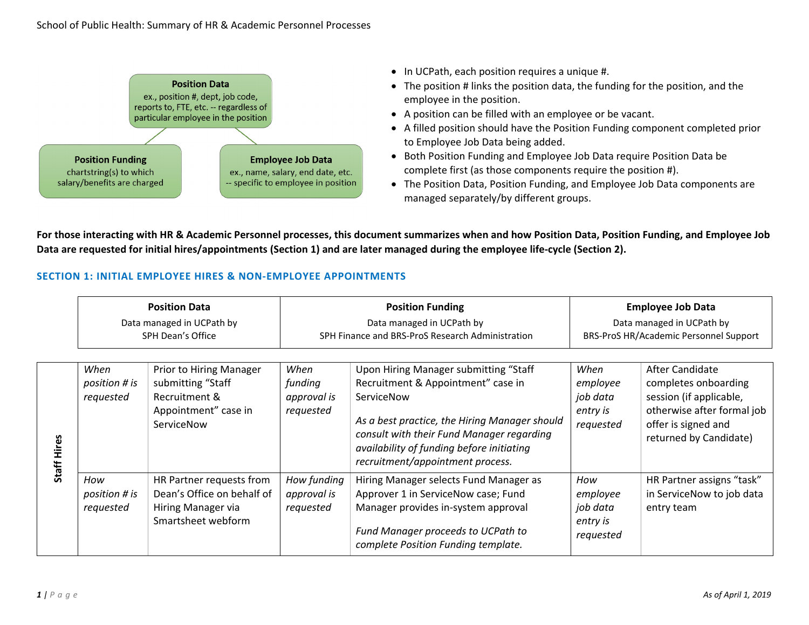

- In UCPath, each position requires a unique #.
- The position # links the position data, the funding for the position, and the employee in the position.
- A position can be filled with an employee or be vacant.
- A filled position should have the Position Funding component completed prior to Employee Job Data being added.
- Both Position Funding and Employee Job Data require Position Data be complete first (as those components require the position #).
- The Position Data, Position Funding, and Employee Job Data components are managed separately/by different groups.

**For those interacting with HR & Academic Personnel processes, this document summarizes when and how Position Data, Position Funding, and Employee Job**  Data are requested for initial hires/appointments (Section 1) and are later managed during the employee life-cycle (Section 2).

## **SECTION 1: INITIAL EMPLOYEE HIRES & NON‐EMPLOYEE APPOINTMENTS**

|                  | <b>Position Data</b>                           |                                                                                                     |                                                                               | <b>Position Funding</b>                                                                                                                                                                                                                                                  | <b>Employee Job Data</b>                                            |                                                                                                                                                   |
|------------------|------------------------------------------------|-----------------------------------------------------------------------------------------------------|-------------------------------------------------------------------------------|--------------------------------------------------------------------------------------------------------------------------------------------------------------------------------------------------------------------------------------------------------------------------|---------------------------------------------------------------------|---------------------------------------------------------------------------------------------------------------------------------------------------|
|                  | Data managed in UCPath by<br>SPH Dean's Office |                                                                                                     | Data managed in UCPath by<br>SPH Finance and BRS-ProS Research Administration |                                                                                                                                                                                                                                                                          | Data managed in UCPath by<br>BRS-ProS HR/Academic Personnel Support |                                                                                                                                                   |
| Hires<br>Staff I | When<br>position # is<br>requested             | Prior to Hiring Manager<br>submitting "Staff<br>Recruitment &<br>Appointment" case in<br>ServiceNow | When<br>funding<br>approval is<br>requested                                   | Upon Hiring Manager submitting "Staff<br>Recruitment & Appointment" case in<br>ServiceNow<br>As a best practice, the Hiring Manager should<br>consult with their Fund Manager regarding<br>availability of funding before initiating<br>recruitment/appointment process. | When<br>employee<br>job data<br>entry is<br>requested               | After Candidate<br>completes onboarding<br>session (if applicable,<br>otherwise after formal job<br>offer is signed and<br>returned by Candidate) |
|                  | How<br>position # is<br>requested              | HR Partner requests from<br>Dean's Office on behalf of<br>Hiring Manager via<br>Smartsheet webform  | How funding<br>approval is<br>requested                                       | Hiring Manager selects Fund Manager as<br>Approver 1 in ServiceNow case; Fund<br>Manager provides in-system approval<br>Fund Manager proceeds to UCPath to<br>complete Position Funding template.                                                                        | How<br>employee<br>job data<br>entry is<br>requested                | HR Partner assigns "task"<br>in ServiceNow to job data<br>entry team                                                                              |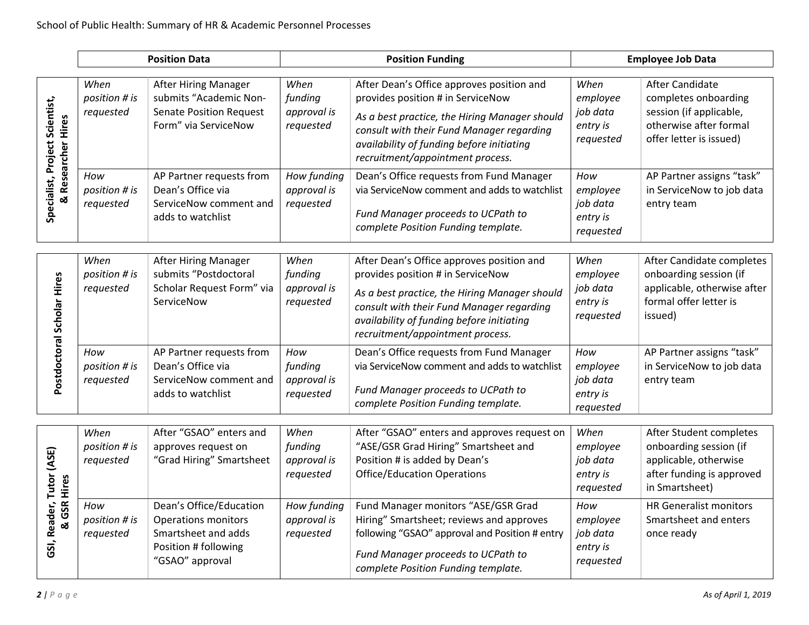|                                                      | <b>Position Data</b>               |                                                                                                                         |                                             | <b>Position Funding</b>                                                                                                                                                                                                                                       | <b>Employee Job Data</b>                              |                                                                                                                                |
|------------------------------------------------------|------------------------------------|-------------------------------------------------------------------------------------------------------------------------|---------------------------------------------|---------------------------------------------------------------------------------------------------------------------------------------------------------------------------------------------------------------------------------------------------------------|-------------------------------------------------------|--------------------------------------------------------------------------------------------------------------------------------|
| Specialist, Project Scientist,<br>& Researcher Hires | When<br>position # is<br>requested | <b>After Hiring Manager</b><br>submits "Academic Non-<br><b>Senate Position Request</b><br>Form" via ServiceNow         | When<br>funding<br>approval is<br>requested | After Dean's Office approves position and<br>provides position # in ServiceNow<br>As a best practice, the Hiring Manager should<br>consult with their Fund Manager regarding<br>availability of funding before initiating<br>recruitment/appointment process. | When<br>employee<br>job data<br>entry is<br>requested | <b>After Candidate</b><br>completes onboarding<br>session (if applicable,<br>otherwise after formal<br>offer letter is issued) |
|                                                      | How<br>position # is<br>requested  | AP Partner requests from<br>Dean's Office via<br>ServiceNow comment and<br>adds to watchlist                            | How funding<br>approval is<br>requested     | Dean's Office requests from Fund Manager<br>via ServiceNow comment and adds to watchlist<br>Fund Manager proceeds to UCPath to<br>complete Position Funding template.                                                                                         | How<br>employee<br>job data<br>entry is<br>requested  | AP Partner assigns "task"<br>in ServiceNow to job data<br>entry team                                                           |
| Postdoctoral Scholar Hires                           | When<br>position # is<br>requested | After Hiring Manager<br>submits "Postdoctoral<br>Scholar Request Form" via<br>ServiceNow                                | When<br>funding<br>approval is<br>requested | After Dean's Office approves position and<br>provides position # in ServiceNow<br>As a best practice, the Hiring Manager should<br>consult with their Fund Manager regarding<br>availability of funding before initiating<br>recruitment/appointment process. | When<br>employee<br>job data<br>entry is<br>requested | After Candidate completes<br>onboarding session (if<br>applicable, otherwise after<br>formal offer letter is<br>issued)        |
|                                                      | How<br>position # is<br>requested  | AP Partner requests from<br>Dean's Office via<br>ServiceNow comment and<br>adds to watchlist                            | How<br>funding<br>approval is<br>requested  | Dean's Office requests from Fund Manager<br>via ServiceNow comment and adds to watchlist<br>Fund Manager proceeds to UCPath to<br>complete Position Funding template.                                                                                         | How<br>employee<br>job data<br>entry is<br>requested  | AP Partner assigns "task"<br>in ServiceNow to job data<br>entry team                                                           |
| GSI, Reader, Tutor (ASE)<br><b>GSR Hires</b><br>ळ    | When<br>position # is<br>requested | After "GSAO" enters and<br>approves request on<br>"Grad Hiring" Smartsheet                                              | When<br>funding<br>approval is<br>requested | After "GSAO" enters and approves request on<br>"ASE/GSR Grad Hiring" Smartsheet and<br>Position # is added by Dean's<br><b>Office/Education Operations</b>                                                                                                    | When<br>employee<br>job data<br>entry is<br>requested | After Student completes<br>onboarding session (if<br>applicable, otherwise<br>after funding is approved<br>in Smartsheet)      |
|                                                      | How<br>position # is<br>requested  | Dean's Office/Education<br><b>Operations monitors</b><br>Smartsheet and adds<br>Position # following<br>"GSAO" approval | How funding<br>approval is<br>requested     | Fund Manager monitors "ASE/GSR Grad<br>Hiring" Smartsheet; reviews and approves<br>following "GSAO" approval and Position # entry<br>Fund Manager proceeds to UCPath to<br>complete Position Funding template.                                                | How<br>employee<br>job data<br>entry is<br>requested  | <b>HR Generalist monitors</b><br>Smartsheet and enters<br>once ready                                                           |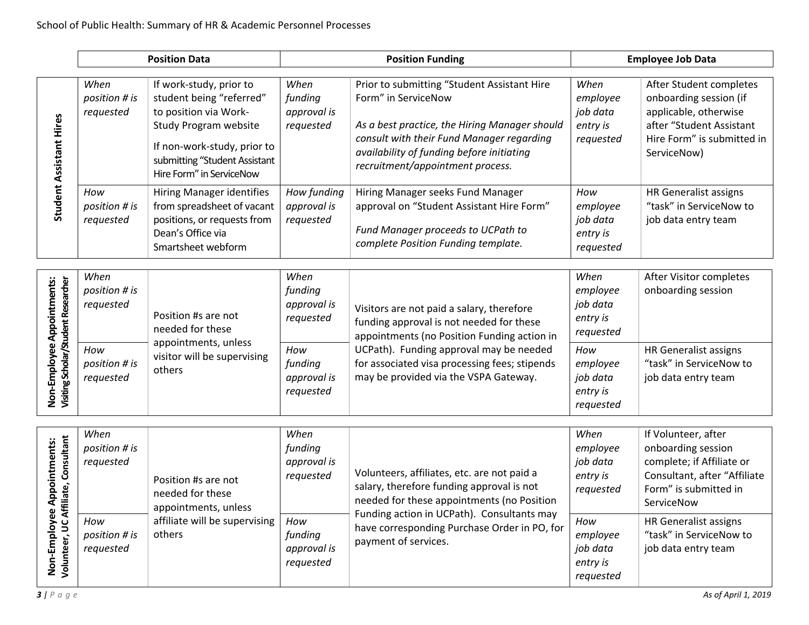|                                                                              | <b>Position Data</b>               |                                                                                                                                                                                                   |                                             | <b>Position Funding</b>                                                                                                                                                                                                                           |                                                       | <b>Employee Job Data</b>                                                                                                                            |  |
|------------------------------------------------------------------------------|------------------------------------|---------------------------------------------------------------------------------------------------------------------------------------------------------------------------------------------------|---------------------------------------------|---------------------------------------------------------------------------------------------------------------------------------------------------------------------------------------------------------------------------------------------------|-------------------------------------------------------|-----------------------------------------------------------------------------------------------------------------------------------------------------|--|
| Student Assistant Hires                                                      | When<br>position # is<br>requested | If work-study, prior to<br>student being "referred"<br>to position via Work-<br>Study Program website<br>If non-work-study, prior to<br>submitting "Student Assistant<br>Hire Form" in ServiceNow | When<br>funding<br>approval is<br>requested | Prior to submitting "Student Assistant Hire<br>Form" in ServiceNow<br>As a best practice, the Hiring Manager should<br>consult with their Fund Manager regarding<br>availability of funding before initiating<br>recruitment/appointment process. | When<br>employee<br>job data<br>entry is<br>requested | After Student completes<br>onboarding session (if<br>applicable, otherwise<br>after "Student Assistant<br>Hire Form" is submitted in<br>ServiceNow) |  |
|                                                                              | How<br>position # is<br>requested  | <b>Hiring Manager identifies</b><br>from spreadsheet of vacant<br>positions, or requests from<br>Dean's Office via<br>Smartsheet webform                                                          | How funding<br>approval is<br>requested     | Hiring Manager seeks Fund Manager<br>approval on "Student Assistant Hire Form"<br>Fund Manager proceeds to UCPath to<br>complete Position Funding template.                                                                                       | How<br>employee<br>job data<br>entry is<br>requested  | HR Generalist assigns<br>"task" in ServiceNow to<br>job data entry team                                                                             |  |
| Non-Employee Appointments:<br>Visiting Scholar/Student Researcher            | When<br>position # is<br>requested | Position #s are not<br>needed for these                                                                                                                                                           | When<br>funding<br>approval is<br>requested | Visitors are not paid a salary, therefore<br>funding approval is not needed for these<br>appointments (no Position Funding action in                                                                                                              | When<br>employee<br>job data<br>entry is<br>requested | After Visitor completes<br>onboarding session                                                                                                       |  |
|                                                                              | How<br>position # is<br>requested  | appointments, unless<br>visitor will be supervising<br>others                                                                                                                                     | How<br>funding<br>approval is<br>requested  | UCPath). Funding approval may be needed<br>for associated visa processing fees; stipends<br>may be provided via the VSPA Gateway.                                                                                                                 | How<br>employee<br>job data<br>entry is<br>requested  | <b>HR Generalist assigns</b><br>"task" in ServiceNow to<br>job data entry team                                                                      |  |
| filiate, Consultant<br>Appointments:<br>Non-Employee /<br>Volunteer, UC Affi | When<br>position # is<br>requested | Position #s are not<br>needed for these<br>appointments, unless                                                                                                                                   | When<br>funding<br>approval is<br>requested | Volunteers, affiliates, etc. are not paid a<br>salary, therefore funding approval is not<br>needed for these appointments (no Position                                                                                                            | When<br>employee<br>job data<br>entry is<br>requested | If Volunteer, after<br>onboarding session<br>complete; if Affiliate or<br>Consultant, after "Affiliate<br>Form" is submitted in<br>ServiceNow       |  |
|                                                                              | How<br>position # is<br>requested  | affiliate will be supervising<br>others                                                                                                                                                           | How<br>funding<br>approval is<br>requested  | Funding action in UCPath). Consultants may<br>have corresponding Purchase Order in PO, for<br>payment of services.                                                                                                                                | How<br>employee<br>job data<br>entry is<br>requested  | HR Generalist assigns<br>"task" in ServiceNow to<br>job data entry team                                                                             |  |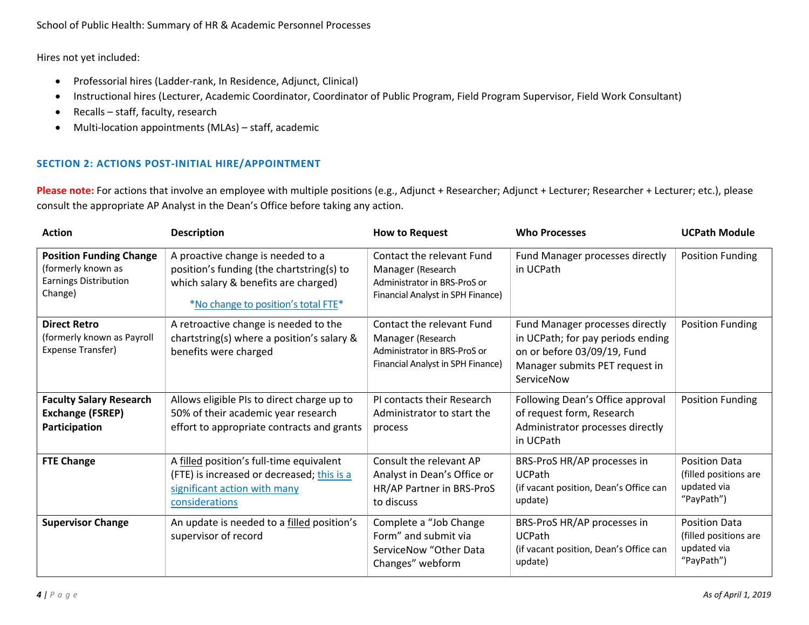Hires not yet included:

- Professorial hires (Ladder-rank, In Residence, Adjunct, Clinical)
- Instructional hires (Lecturer, Academic Coordinator, Coordinator of Public Program, Field Program Supervisor, Field Work Consultant)
- $\bullet$ Recalls – staff, faculty, research
- Multi-location appointments (MLAs) staff, academic

## **SECTION 2: ACTIONS POST-INITIAL HIRE/APPOINTMENT**

**Please note:** For actions that involve an employee with multiple positions (e.g., Adjunct + Researcher; Adjunct + Lecturer; Researcher + Lecturer; etc.), please consult the appropriate AP Analyst in the Dean's Office before taking any action.

| <b>Action</b>                                                                                   | <b>Description</b>                                                                                                                                            | <b>How to Request</b>                                                                                               | <b>Who Processes</b>                                                                                                                                | <b>UCPath Module</b>                                                       |
|-------------------------------------------------------------------------------------------------|---------------------------------------------------------------------------------------------------------------------------------------------------------------|---------------------------------------------------------------------------------------------------------------------|-----------------------------------------------------------------------------------------------------------------------------------------------------|----------------------------------------------------------------------------|
| <b>Position Funding Change</b><br>(formerly known as<br><b>Earnings Distribution</b><br>Change) | A proactive change is needed to a<br>position's funding (the chartstring(s) to<br>which salary & benefits are charged)<br>*No change to position's total FTE* | Contact the relevant Fund<br>Manager (Research<br>Administrator in BRS-ProS or<br>Financial Analyst in SPH Finance) | Fund Manager processes directly<br>in UCPath                                                                                                        | <b>Position Funding</b>                                                    |
| <b>Direct Retro</b><br>(formerly known as Payroll<br>Expense Transfer)                          | A retroactive change is needed to the<br>chartstring(s) where a position's salary &<br>benefits were charged                                                  | Contact the relevant Fund<br>Manager (Research<br>Administrator in BRS-ProS or<br>Financial Analyst in SPH Finance) | Fund Manager processes directly<br>in UCPath; for pay periods ending<br>on or before 03/09/19, Fund<br>Manager submits PET request in<br>ServiceNow | Position Funding                                                           |
| <b>Faculty Salary Research</b><br><b>Exchange (FSREP)</b><br>Participation                      | Allows eligible PIs to direct charge up to<br>50% of their academic year research<br>effort to appropriate contracts and grants                               | PI contacts their Research<br>Administrator to start the<br>process                                                 | Following Dean's Office approval<br>of request form, Research<br>Administrator processes directly<br>in UCPath                                      | <b>Position Funding</b>                                                    |
| <b>FTE Change</b>                                                                               | A filled position's full-time equivalent<br>(FTE) is increased or decreased; this is a<br>significant action with many<br>considerations                      | Consult the relevant AP<br>Analyst in Dean's Office or<br>HR/AP Partner in BRS-ProS<br>to discuss                   | BRS-ProS HR/AP processes in<br><b>UCPath</b><br>(if vacant position, Dean's Office can<br>update)                                                   | <b>Position Data</b><br>(filled positions are<br>updated via<br>"PayPath") |
| <b>Supervisor Change</b>                                                                        | An update is needed to a filled position's<br>supervisor of record                                                                                            | Complete a "Job Change<br>Form" and submit via<br>ServiceNow "Other Data<br>Changes" webform                        | BRS-ProS HR/AP processes in<br><b>UCPath</b><br>(if vacant position, Dean's Office can<br>update)                                                   | <b>Position Data</b><br>(filled positions are<br>updated via<br>"PayPath") |